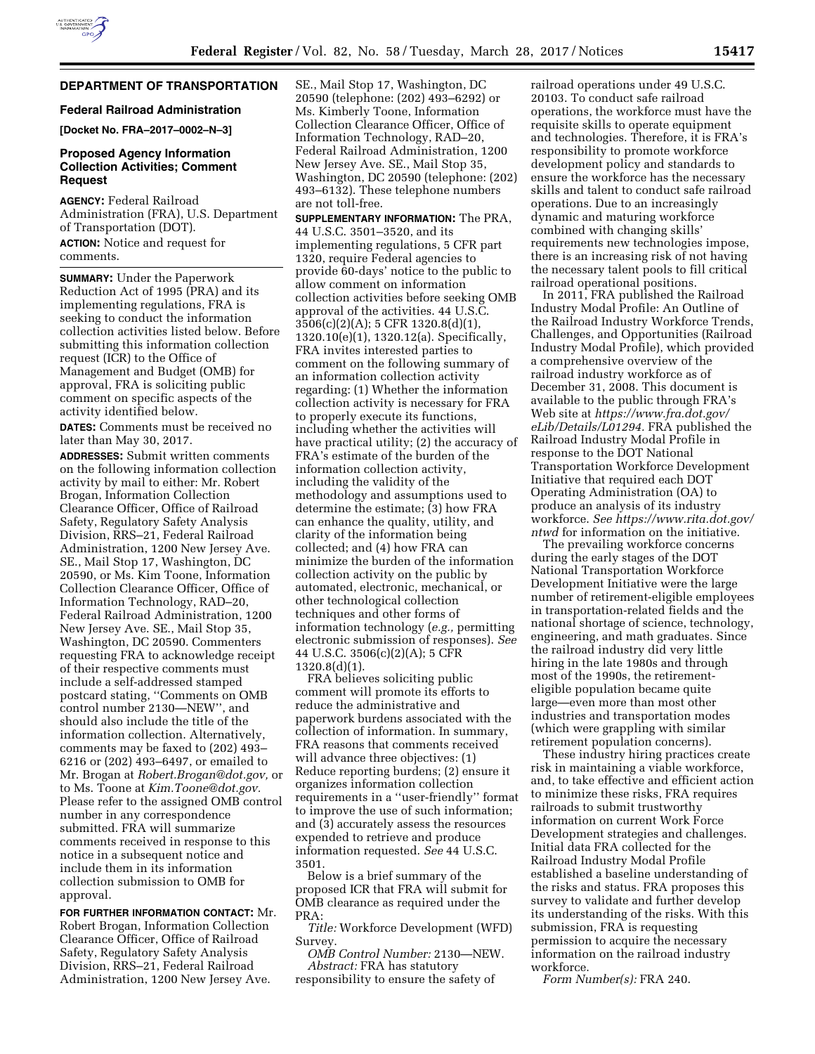# **DEPARTMENT OF TRANSPORTATION**

#### **Federal Railroad Administration**

**[Docket No. FRA–2017–0002–N–3]** 

### **Proposed Agency Information Collection Activities; Comment Request**

**AGENCY:** Federal Railroad Administration (FRA), U.S. Department of Transportation (DOT). **ACTION:** Notice and request for comments.

**SUMMARY:** Under the Paperwork Reduction Act of 1995 (PRA) and its implementing regulations, FRA is seeking to conduct the information collection activities listed below. Before submitting this information collection request (ICR) to the Office of Management and Budget (OMB) for approval, FRA is soliciting public comment on specific aspects of the activity identified below.

**DATES:** Comments must be received no later than May 30, 2017.

**ADDRESSES:** Submit written comments on the following information collection activity by mail to either: Mr. Robert Brogan, Information Collection Clearance Officer, Office of Railroad Safety, Regulatory Safety Analysis Division, RRS–21, Federal Railroad Administration, 1200 New Jersey Ave. SE., Mail Stop 17, Washington, DC 20590, or Ms. Kim Toone, Information Collection Clearance Officer, Office of Information Technology, RAD–20, Federal Railroad Administration, 1200 New Jersey Ave. SE., Mail Stop 35, Washington, DC 20590. Commenters requesting FRA to acknowledge receipt of their respective comments must include a self-addressed stamped postcard stating, ''Comments on OMB control number 2130—NEW'', and should also include the title of the information collection. Alternatively, comments may be faxed to (202) 493– 6216 or (202) 493–6497, or emailed to Mr. Brogan at *[Robert.Brogan@dot.gov,](mailto:Robert.Brogan@dot.gov)* or to Ms. Toone at *[Kim.Toone@dot.gov.](mailto:Kim.Toone@dot.gov)*  Please refer to the assigned OMB control number in any correspondence submitted. FRA will summarize comments received in response to this notice in a subsequent notice and include them in its information collection submission to OMB for approval.

**FOR FURTHER INFORMATION CONTACT:** Mr. Robert Brogan, Information Collection Clearance Officer, Office of Railroad Safety, Regulatory Safety Analysis Division, RRS–21, Federal Railroad Administration, 1200 New Jersey Ave.

SE., Mail Stop 17, Washington, DC 20590 (telephone: (202) 493–6292) or Ms. Kimberly Toone, Information Collection Clearance Officer, Office of Information Technology, RAD–20, Federal Railroad Administration, 1200 New Jersey Ave. SE., Mail Stop 35, Washington, DC 20590 (telephone: (202) 493–6132). These telephone numbers are not toll-free.

**SUPPLEMENTARY INFORMATION:** The PRA, 44 U.S.C. 3501–3520, and its implementing regulations, 5 CFR part 1320, require Federal agencies to provide 60-days' notice to the public to allow comment on information collection activities before seeking OMB approval of the activities. 44 U.S.C. 3506(c)(2)(A); 5 CFR 1320.8(d)(1), 1320.10(e)(1), 1320.12(a). Specifically, FRA invites interested parties to comment on the following summary of an information collection activity regarding: (1) Whether the information collection activity is necessary for FRA to properly execute its functions, including whether the activities will have practical utility; (2) the accuracy of FRA's estimate of the burden of the information collection activity, including the validity of the methodology and assumptions used to determine the estimate; (3) how FRA can enhance the quality, utility, and clarity of the information being collected; and (4) how FRA can minimize the burden of the information collection activity on the public by automated, electronic, mechanical, or other technological collection techniques and other forms of information technology (*e.g.,* permitting electronic submission of responses). *See*  44 U.S.C. 3506(c)(2)(A); 5 CFR 1320.8(d)(1).

FRA believes soliciting public comment will promote its efforts to reduce the administrative and paperwork burdens associated with the collection of information. In summary, FRA reasons that comments received will advance three objectives: (1) Reduce reporting burdens; (2) ensure it organizes information collection requirements in a ''user-friendly'' format to improve the use of such information; and (3) accurately assess the resources expended to retrieve and produce information requested. *See* 44 U.S.C. 3501.

Below is a brief summary of the proposed ICR that FRA will submit for OMB clearance as required under the PRA:

*Title:* Workforce Development (WFD) Survey.

*OMB Control Number:* 2130—NEW. *Abstract:* FRA has statutory

responsibility to ensure the safety of

railroad operations under 49 U.S.C. 20103. To conduct safe railroad operations, the workforce must have the requisite skills to operate equipment and technologies. Therefore, it is FRA's responsibility to promote workforce development policy and standards to ensure the workforce has the necessary skills and talent to conduct safe railroad operations. Due to an increasingly dynamic and maturing workforce combined with changing skills' requirements new technologies impose, there is an increasing risk of not having the necessary talent pools to fill critical railroad operational positions.

In 2011, FRA published the Railroad Industry Modal Profile: An Outline of the Railroad Industry Workforce Trends, Challenges, and Opportunities (Railroad Industry Modal Profile), which provided a comprehensive overview of the railroad industry workforce as of December 31, 2008. This document is available to the public through FRA's Web site at *[https://www.fra.dot.gov/](https://www.fra.dot.gov/eLib/Details/L01294) [eLib/Details/L01294.](https://www.fra.dot.gov/eLib/Details/L01294)* FRA published the Railroad Industry Modal Profile in response to the DOT National Transportation Workforce Development Initiative that required each DOT Operating Administration (OA) to produce an analysis of its industry workforce. *See [https://www.rita.dot.gov/](https://www.rita.dot.gov/ntwd) [ntwd](https://www.rita.dot.gov/ntwd)* for information on the initiative.

The prevailing workforce concerns during the early stages of the DOT National Transportation Workforce Development Initiative were the large number of retirement-eligible employees in transportation-related fields and the national shortage of science, technology, engineering, and math graduates. Since the railroad industry did very little hiring in the late 1980s and through most of the 1990s, the retirementeligible population became quite large—even more than most other industries and transportation modes (which were grappling with similar retirement population concerns).

These industry hiring practices create risk in maintaining a viable workforce, and, to take effective and efficient action to minimize these risks, FRA requires railroads to submit trustworthy information on current Work Force Development strategies and challenges. Initial data FRA collected for the Railroad Industry Modal Profile established a baseline understanding of the risks and status. FRA proposes this survey to validate and further develop its understanding of the risks. With this submission, FRA is requesting permission to acquire the necessary information on the railroad industry workforce.

*Form Number(s):* FRA 240.